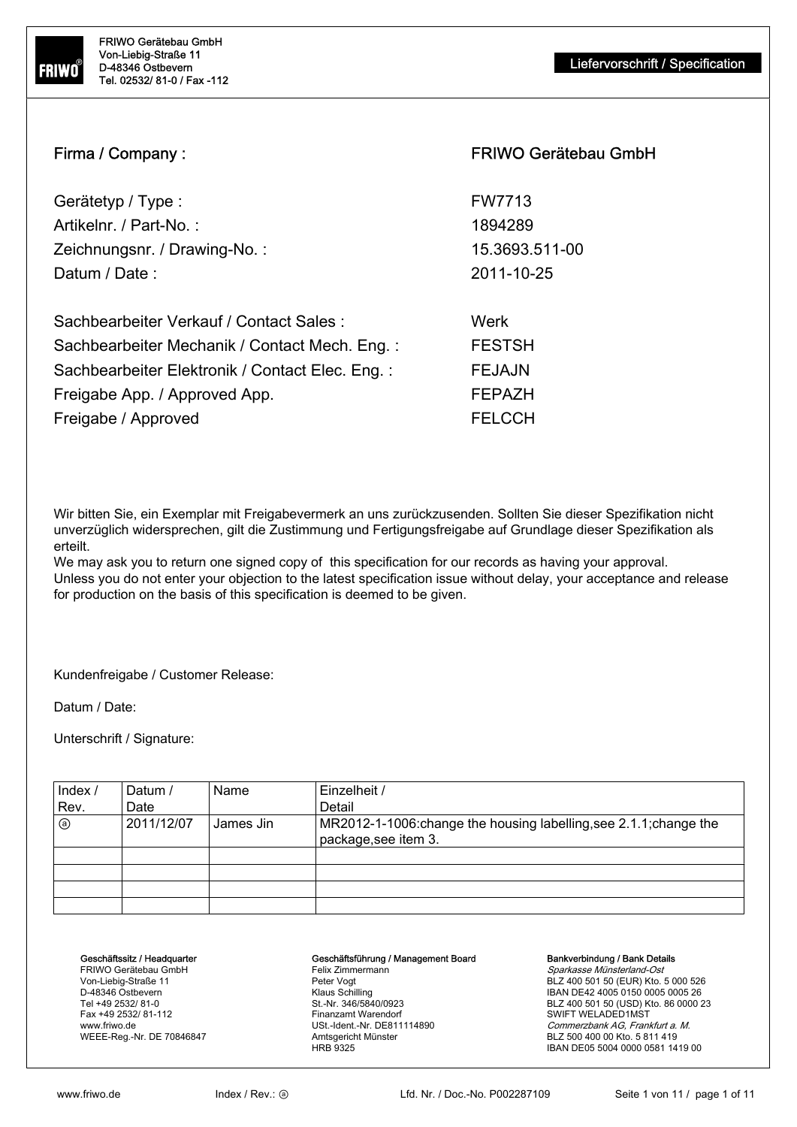

# Firma / Company : Firma / Company : FRIWO Gerätebau GmbH

| Gerätetyp / Type :            | <b>FW7713</b>  |
|-------------------------------|----------------|
| Artikelnr. / Part-No. :       | 1894289        |
| Zeichnungsnr. / Drawing-No. : | 15.3693.511-00 |
| Datum / Date :                | 2011-10-25     |
|                               |                |

| Sachbearbeiter Verkauf / Contact Sales :        | Werk          |
|-------------------------------------------------|---------------|
| Sachbearbeiter Mechanik / Contact Mech. Eng.:   | <b>FESTSH</b> |
| Sachbearbeiter Elektronik / Contact Elec. Eng.: | <b>FEJAJN</b> |
| Freigabe App. / Approved App.                   | <b>FEPAZH</b> |
| Freigabe / Approved                             | <b>FELCCH</b> |

Wir bitten Sie, ein Exemplar mit Freigabevermerk an uns zurückzusenden. Sollten Sie dieser Spezifikation nicht unverzüglich widersprechen, gilt die Zustimmung und Fertigungsfreigabe auf Grundlage dieser Spezifikation als erteilt.

We may ask you to return one signed copy of this specification for our records as having your approval. Unless you do not enter your objection to the latest specification issue without delay, your acceptance and release for production on the basis of this specification is deemed to be given.

Kundenfreigabe / Customer Release:

Datum / Date:

Unterschrift / Signature:

| Index /<br>Rev. | Datum /<br>Date | Name      | Einzelheit /<br>Detail                                             |
|-----------------|-----------------|-----------|--------------------------------------------------------------------|
| ◉               | 2011/12/07      | James Jin | MR2012-1-1006: change the housing labelling, see 2.1.1; change the |
|                 |                 |           | package, see item 3.                                               |
|                 |                 |           |                                                                    |
|                 |                 |           |                                                                    |
|                 |                 |           |                                                                    |
|                 |                 |           |                                                                    |

#### Geschäftssitz / Headquarter

FRIWO Gerätebau GmbH Von-Liebig-Straße 11 D-48346 Ostbevern Tel +49 2532/ 81-0 Fax +49 2532/ 81-112 www.friwo.de WEEE-Reg.-Nr. DE 70846847

#### Geschäftsführung / Management Board

Felix Zimmermann Peter Vogt Klaus Schilling St.-Nr. 346/5840/0923 Finanzamt Warendorf USt.-Ident.-Nr. DE811114890 Amtsgericht Münster HRB 9325

#### Bankverbindung / Bank Details

Sparkasse Münsterland-Ost BLZ 400 501 50 (EUR) Kto. 5 000 526 IBAN DE42 4005 0150 0005 0005 26 BLZ 400 501 50 (USD) Kto. 86 0000 23 SWIFT WELADED1MST Commerzbank AG, Frankfurt a. M. BLZ 500 400 00 Kto. 5 811 419 IBAN DE05 5004 0000 0581 1419 00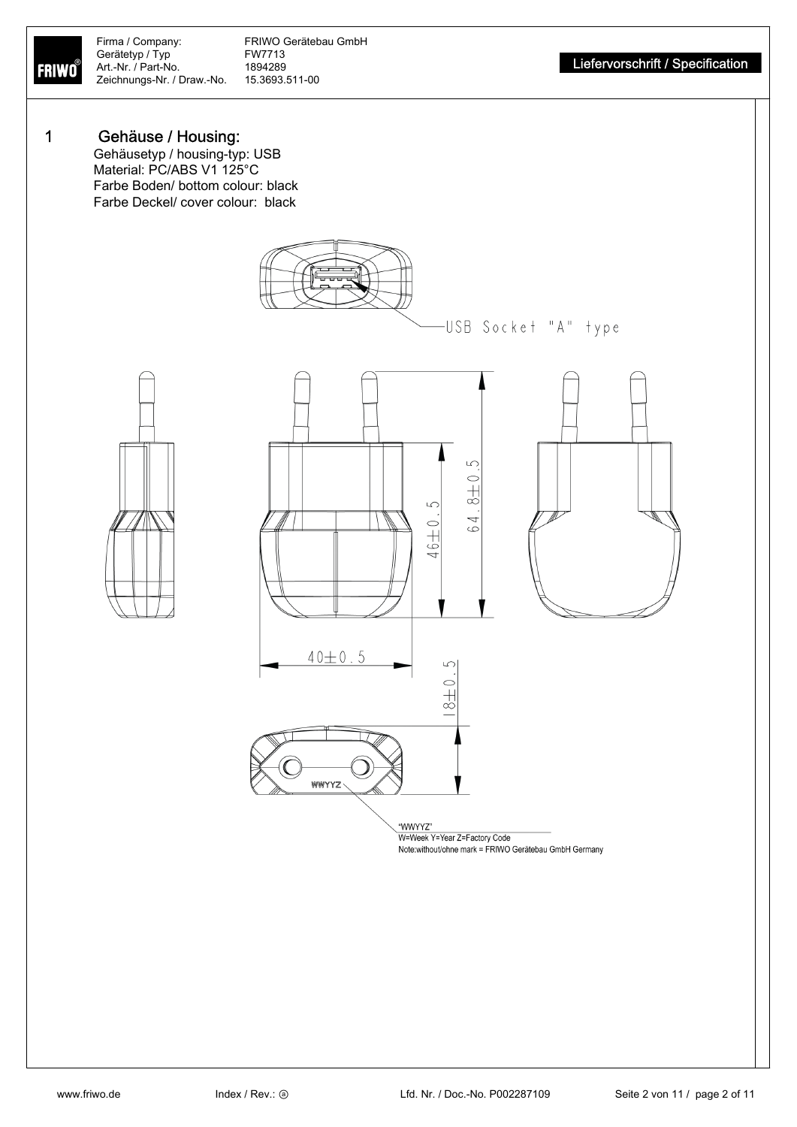**FRIWO** 

Firma / Company: FRIWO Gerätebau GmbH<br>Gerätetyp / Typ FW7713 Gerätetyp / Typ FW7713<br>Art.-Nr. / Part-No. 1894289 Zeichnungs-Nr. / Draw.-No.

## 1 Gehäuse / Housing:

Gehäusetyp / housing-typ: USB Material: PC/ABS V1 125°C Farbe Boden/ bottom colour: black Farbe Deckel/ cover colour: black



Note:without/ohne mark = FRIWO Gerätebau GmbH Germany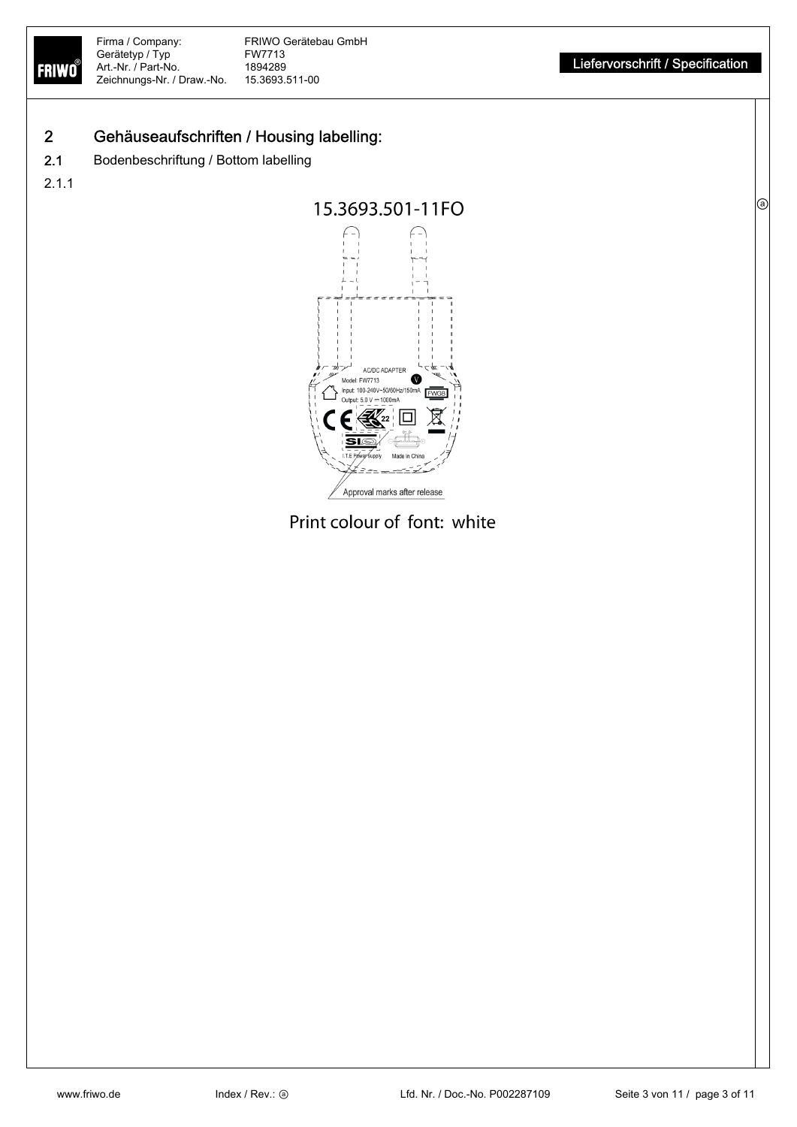FRIWO

ⓐ

# 2 Gehäuseaufschriften / Housing labelling:

2.1 Bodenbeschriftung / Bottom labelling

2.1.1



Print colour of font: white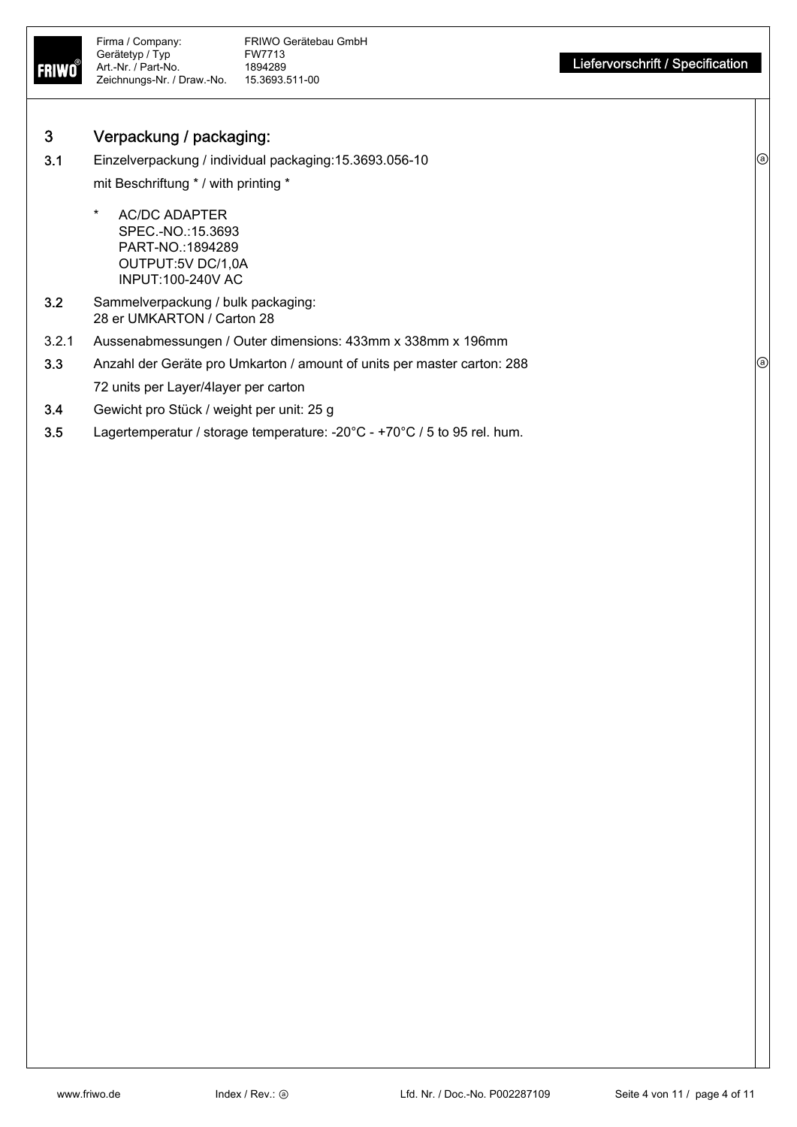

## 3 Verpackung / packaging:

3.1 Einzelverpackung / individual packaging:15.3693.056-10 mit Beschriftung \* / with printing \*

- AC/DC ADAPTER SPEC.-NO.:15.3693 PART-NO.:1894289 OUTPUT:5V DC/1,0A INPUT:100-240V AC
- 3.2 Sammelverpackung / bulk packaging: 28 er UMKARTON / Carton 28
- 3.2.1 Aussenabmessungen / Outer dimensions: 433mm x 338mm x 196mm
- 3.3 Anzahl der Geräte pro Umkarton / amount of units per master carton: 288 72 units per Layer/4layer per carton
- 3.4 Gewicht pro Stück / weight per unit: 25 g
- 3.5 Lagertemperatur / storage temperature: -20°C +70°C / 5 to 95 rel. hum.

(a)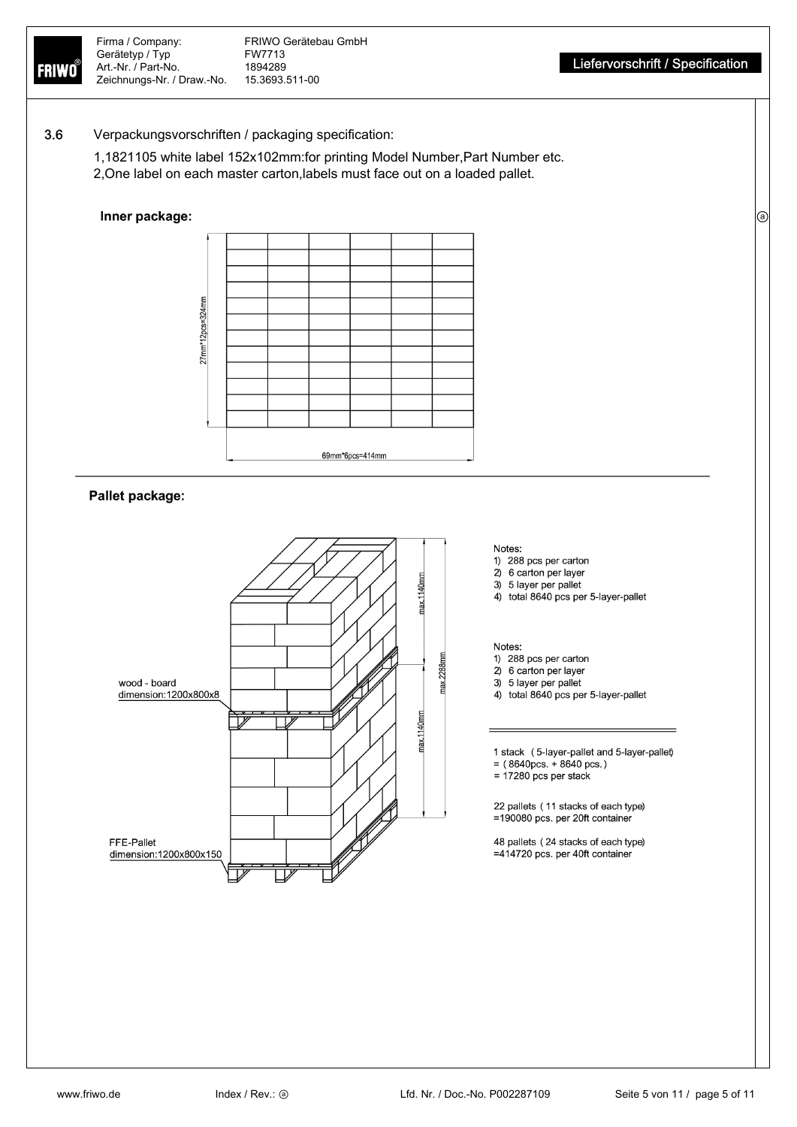ⓐ

## 3.6 Verpackungsvorschriften / packaging specification:

1,1821105 white label 152x102mm:for printing Model Number,Part Number etc. 2,One label on each master carton,labels must face out on a loaded pallet.

## Inner package:



## Pallet package:



#### Notes:

- 1) 288 pcs per carton
- 2) 6 carton per layer
- 3) 5 layer per pallet
- 4) total 8640 pcs per 5-layer-pallet

#### Notes:

- 1) 288 pcs per carton
- 2) 6 carton per layer
- 3) 5 layer per pallet
- 4) total 8640 pcs per 5-layer-pallet

1 stack (5-layer-pallet and 5-layer-pallet)  $= (8640 \text{pcs.} + 8640 \text{pcs.})$ 

- $= 17280$  pcs per stack
- 

22 pallets (11 stacks of each type) =190080 pcs. per 20ft container

48 pallets (24 stacks of each type) =414720 pcs. per 40ft container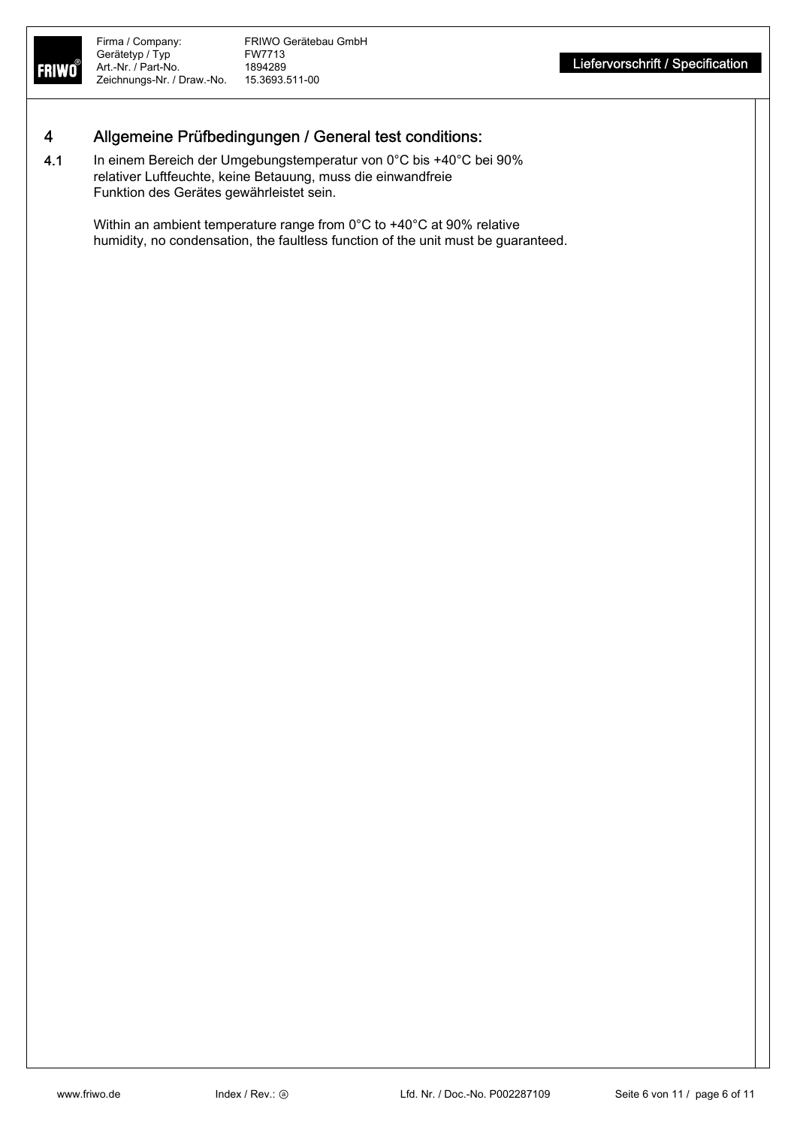# 4 Allgemeine Prüfbedingungen / General test conditions:

4.1 In einem Bereich der Umgebungstemperatur von 0°C bis +40°C bei 90% relativer Luftfeuchte, keine Betauung, muss die einwandfreie Funktion des Gerätes gewährleistet sein.

> Within an ambient temperature range from 0°C to +40°C at 90% relative humidity, no condensation, the faultless function of the unit must be guaranteed.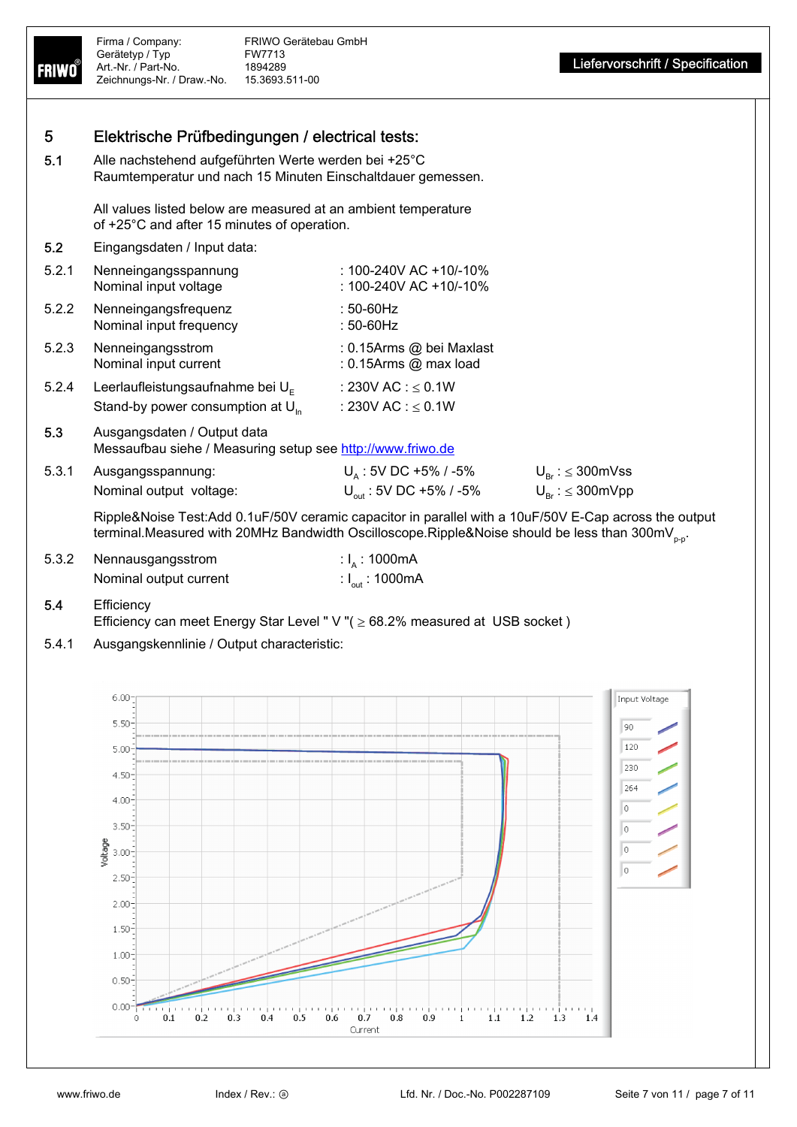

5.4 Efficiency

Efficiency can meet Energy Star Level " V "( $\geq$  68.2% measured at USB socket)

5.4.1 Ausgangskennlinie / Output characteristic:

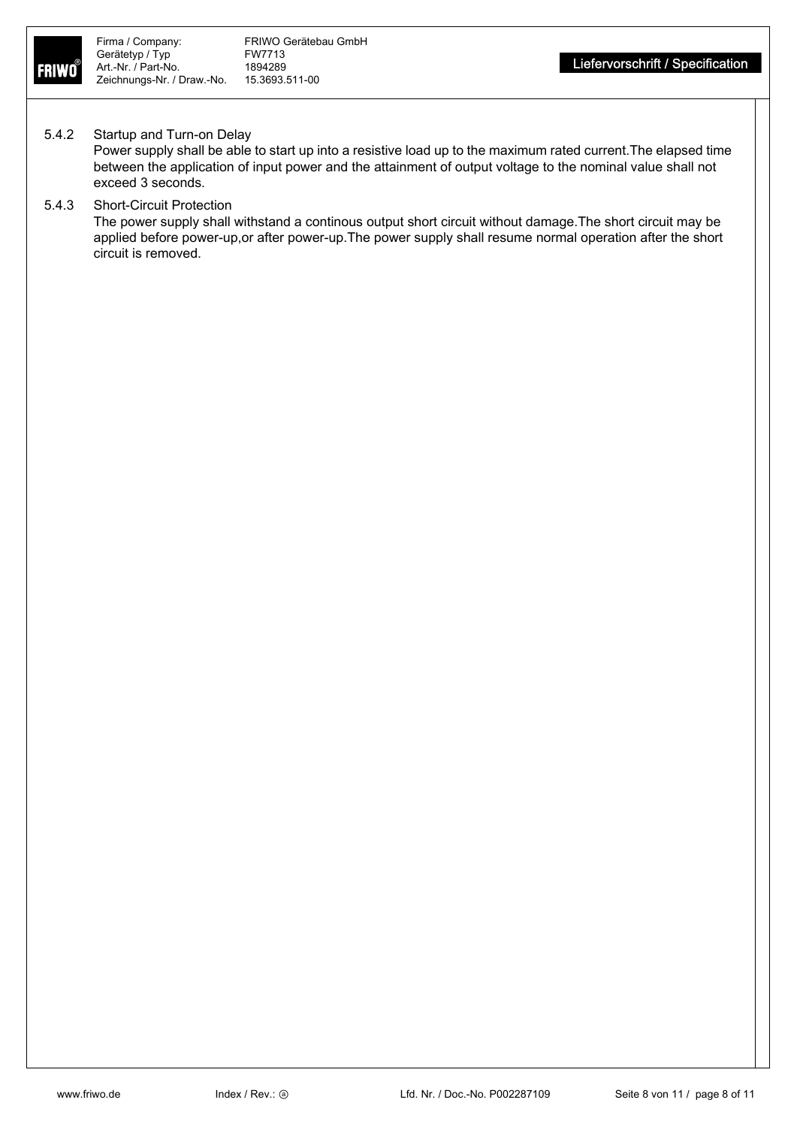

## 5.4.2 Startup and Turn-on Delay

Power supply shall be able to start up into a resistive load up to the maximum rated current.The elapsed time between the application of input power and the attainment of output voltage to the nominal value shall not exceed 3 seconds.

## 5.4.3 Short-Circuit Protection

The power supply shall withstand a continous output short circuit without damage.The short circuit may be applied before power-up,or after power-up.The power supply shall resume normal operation after the short circuit is removed.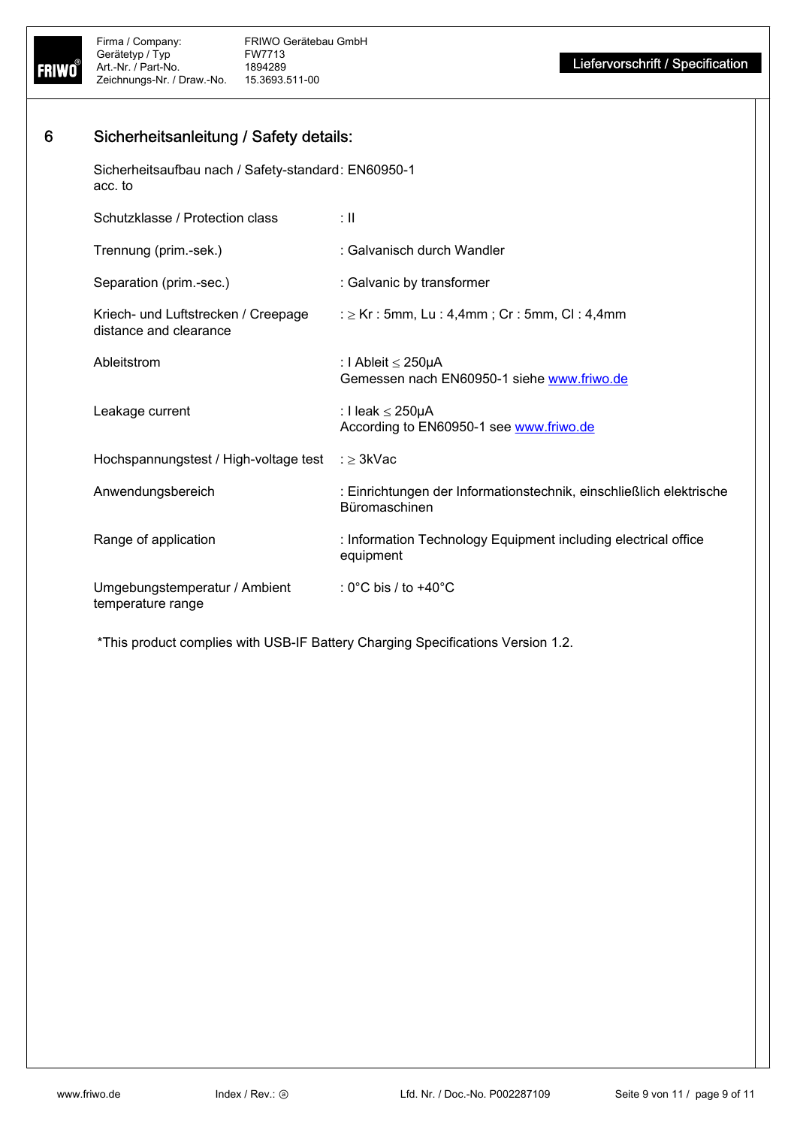

# 6 Sicherheitsanleitung / Safety details:

Sicherheitsaufbau nach / Safety-standard : EN60950-1 acc. to

| Schutzklasse / Protection class                               | ÷Ш                                                                                   |
|---------------------------------------------------------------|--------------------------------------------------------------------------------------|
| Trennung (prim.-sek.)                                         | : Galvanisch durch Wandler                                                           |
| Separation (prim.-sec.)                                       | : Galvanic by transformer                                                            |
| Kriech- und Luftstrecken / Creepage<br>distance and clearance | : $\geq$ Kr : 5mm, Lu : 4,4mm ; Cr : 5mm, Cl : 4,4mm                                 |
| Ableitstrom                                                   | : I Ableit ≤ 250µA<br>Gemessen nach EN60950-1 siehe www.friwo.de                     |
| Leakage current                                               | : I leak ≤ 250µA<br>According to EN60950-1 see www.friwo.de                          |
| Hochspannungstest / High-voltage test                         | ∷ > 3kVac                                                                            |
| Anwendungsbereich                                             | : Einrichtungen der Informationstechnik, einschließlich elektrische<br>Büromaschinen |
| Range of application                                          | : Information Technology Equipment including electrical office<br>equipment          |
| Umgebungstemperatur / Ambient<br>temperature range            | : 0°C bis / to $+40^{\circ}$ C                                                       |

\*This product complies with USB-IF Battery Charging Specifications Version 1.2.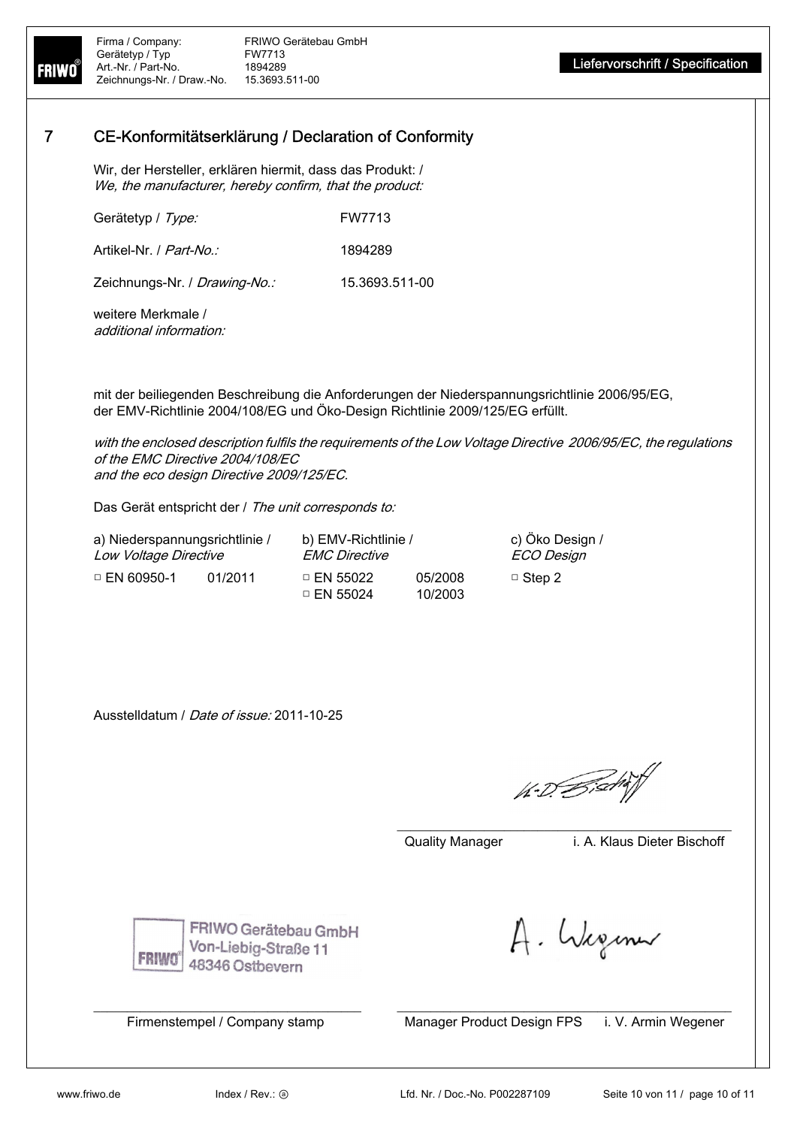## 7 CE-Konformitätserklärung / Declaration of Conformity

Wir, der Hersteller, erklären hiermit, dass das Produkt: / We, the manufacturer, hereby confirm, that the product:

| Gerätetyp / Type: | FW7713 |
|-------------------|--------|
|                   |        |

Artikel-Nr. / Part-No.: 1894289

Zeichnungs-Nr. / Drawing-No.: 15.3693.511-00

weitere Merkmale / additional information:

mit der beiliegenden Beschreibung die Anforderungen der Niederspannungsrichtlinie 2006/95/EG, der EMV-Richtlinie 2004/108/EG und Öko-Design Richtlinie 2009/125/EG erfüllt.

with the enclosed description fulfils the requirements of the Low Voltage Directive 2006/95/EC, the regulations of the EMC Directive 2004/108/EC and the eco design Directive 2009/125/EC.

Das Gerät entspricht der / The unit corresponds to:

a) Niederspannungsrichtlinie / Low Voltage Directive b) EMV-Richtlinie / EMC Directive c) Öko Design / ECO Design □ EN 60950-1 01/2011 □ EN 55022 05/2008 □ EN 55024 10/2003 □ Step 2

Ausstelldatum / Date of issue: 2011-10-25

1. D. Bischi

\_\_\_\_\_\_\_\_\_\_\_\_\_\_\_\_\_\_\_\_\_\_\_\_\_\_\_\_\_\_\_\_\_\_\_\_\_\_\_\_\_\_\_\_\_\_\_\_\_\_

\_\_\_\_\_\_\_\_\_\_\_\_\_\_\_\_\_\_\_\_\_\_\_\_\_\_\_\_\_\_\_\_\_\_\_\_\_\_\_\_ \_\_\_\_\_\_\_\_\_\_\_\_\_\_\_\_\_\_\_\_\_\_\_\_\_\_\_\_\_\_\_\_\_\_\_\_\_\_\_\_\_\_\_\_\_\_\_\_\_\_

Quality Manager i. A. Klaus Dieter Bischoff

FRIWO

FRIWO Gerätebau GmbH Von-Liebig-Straße 11 48346 Ostbevern

A. Weginn

Firmenstempel / Company stamp Manager Product Design FPS i. V. Armin Wegener